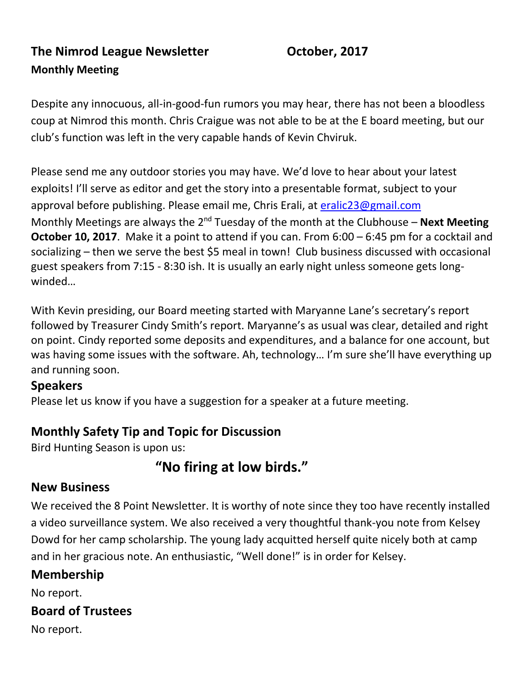**The Nimrod League Newsletter Constructed Constrainers** October, 2017 **Monthly Meeting** 

Despite any innocuous, all-in-good-fun rumors you may hear, there has not been a bloodless coup at Nimrod this month. Chris Craigue was not able to be at the E board meeting, but our club's function was left in the very capable hands of Kevin Chviruk.

Please send me any outdoor stories you may have. We'd love to hear about your latest exploits! I'll serve as editor and get the story into a presentable format, subject to your approval before publishing. Please email me, Chris Erali, at [eralic23@gmail.com](mailto:eralic23@gmail.com) Monthly Meetings are always the 2<sup>nd</sup> Tuesday of the month at the Clubhouse – **Next Meeting October 10, 2017**. Make it a point to attend if you can. From 6:00 – 6:45 pm for a cocktail and socializing – then we serve the best \$5 meal in town! Club business discussed with occasional guest speakers from 7:15 - 8:30 ish. It is usually an early night unless someone gets longwinded…

With Kevin presiding, our Board meeting started with Maryanne Lane's secretary's report followed by Treasurer Cindy Smith's report. Maryanne's as usual was clear, detailed and right on point. Cindy reported some deposits and expenditures, and a balance for one account, but was having some issues with the software. Ah, technology… I'm sure she'll have everything up and running soon.

#### **Speakers**

Please let us know if you have a suggestion for a speaker at a future meeting.

#### **Monthly Safety Tip and Topic for Discussion**

Bird Hunting Season is upon us:

## **"No firing at low birds."**

#### **New Business**

We received the 8 Point Newsletter. It is worthy of note since they too have recently installed a video surveillance system. We also received a very thoughtful thank-you note from Kelsey Dowd for her camp scholarship. The young lady acquitted herself quite nicely both at camp and in her gracious note. An enthusiastic, "Well done!" is in order for Kelsey.

#### **Membership**

No report.

#### **Board of Trustees**

No report.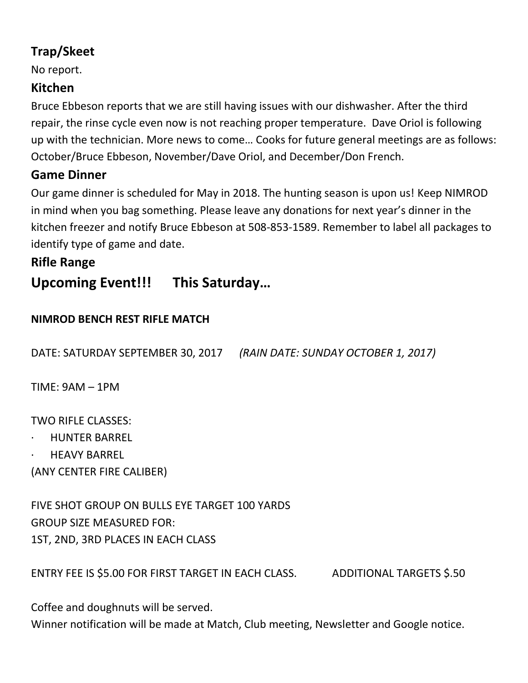## **Trap/Skeet**

No report.

#### **Kitchen**

Bruce Ebbeson reports that we are still having issues with our dishwasher. After the third repair, the rinse cycle even now is not reaching proper temperature. Dave Oriol is following up with the technician. More news to come… Cooks for future general meetings are as follows: October/Bruce Ebbeson, November/Dave Oriol, and December/Don French.

#### **Game Dinner**

Our game dinner is scheduled for May in 2018. The hunting season is upon us! Keep NIMROD in mind when you bag something. Please leave any donations for next year's dinner in the kitchen freezer and notify Bruce Ebbeson at 508-853-1589. Remember to label all packages to identify type of game and date.

#### **Rifle Range**

# **Upcoming Event!!! This Saturday…**

#### **NIMROD BENCH REST RIFLE MATCH**

DATE: SATURDAY SEPTEMBER 30, 2017 *(RAIN DATE: SUNDAY OCTOBER 1, 2017)*

TIME: 9AM – 1PM

TWO RIFLE CLASSES:

- · HUNTER BARREL
- **HEAVY BARREL**

(ANY CENTER FIRE CALIBER)

FIVE SHOT GROUP ON BULLS EYE TARGET 100 YARDS GROUP SIZE MEASURED FOR: 1ST, 2ND, 3RD PLACES IN EACH CLASS

ENTRY FEE IS \$5.00 FOR FIRST TARGET IN EACH CLASS. ADDITIONAL TARGETS \$.50

Coffee and doughnuts will be served.

Winner notification will be made at Match, Club meeting, Newsletter and Google notice.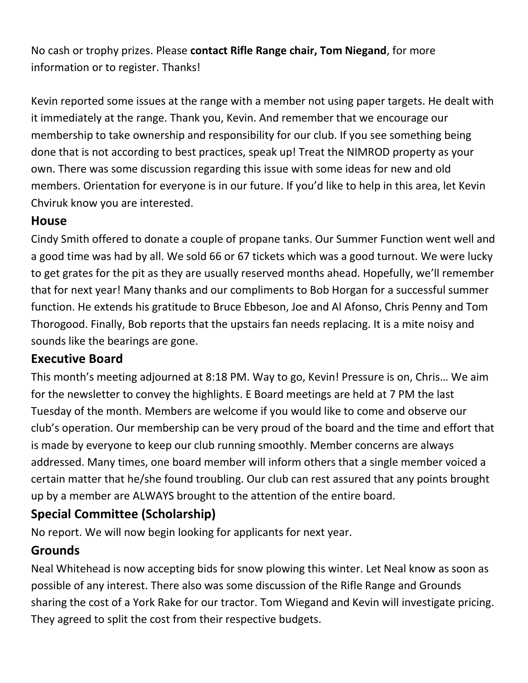No cash or trophy prizes. Please **contact Rifle Range chair, Tom Niegand**, for more information or to register. Thanks!

Kevin reported some issues at the range with a member not using paper targets. He dealt with it immediately at the range. Thank you, Kevin. And remember that we encourage our membership to take ownership and responsibility for our club. If you see something being done that is not according to best practices, speak up! Treat the NIMROD property as your own. There was some discussion regarding this issue with some ideas for new and old members. Orientation for everyone is in our future. If you'd like to help in this area, let Kevin Chviruk know you are interested.

#### **House**

Cindy Smith offered to donate a couple of propane tanks. Our Summer Function went well and a good time was had by all. We sold 66 or 67 tickets which was a good turnout. We were lucky to get grates for the pit as they are usually reserved months ahead. Hopefully, we'll remember that for next year! Many thanks and our compliments to Bob Horgan for a successful summer function. He extends his gratitude to Bruce Ebbeson, Joe and Al Afonso, Chris Penny and Tom Thorogood. Finally, Bob reports that the upstairs fan needs replacing. It is a mite noisy and sounds like the bearings are gone.

#### **Executive Board**

This month's meeting adjourned at 8:18 PM. Way to go, Kevin! Pressure is on, Chris… We aim for the newsletter to convey the highlights. E Board meetings are held at 7 PM the last Tuesday of the month. Members are welcome if you would like to come and observe our club's operation. Our membership can be very proud of the board and the time and effort that is made by everyone to keep our club running smoothly. Member concerns are always addressed. Many times, one board member will inform others that a single member voiced a certain matter that he/she found troubling. Our club can rest assured that any points brought up by a member are ALWAYS brought to the attention of the entire board.

## **Special Committee (Scholarship)**

No report. We will now begin looking for applicants for next year.

## **Grounds**

Neal Whitehead is now accepting bids for snow plowing this winter. Let Neal know as soon as possible of any interest. There also was some discussion of the Rifle Range and Grounds sharing the cost of a York Rake for our tractor. Tom Wiegand and Kevin will investigate pricing. They agreed to split the cost from their respective budgets.